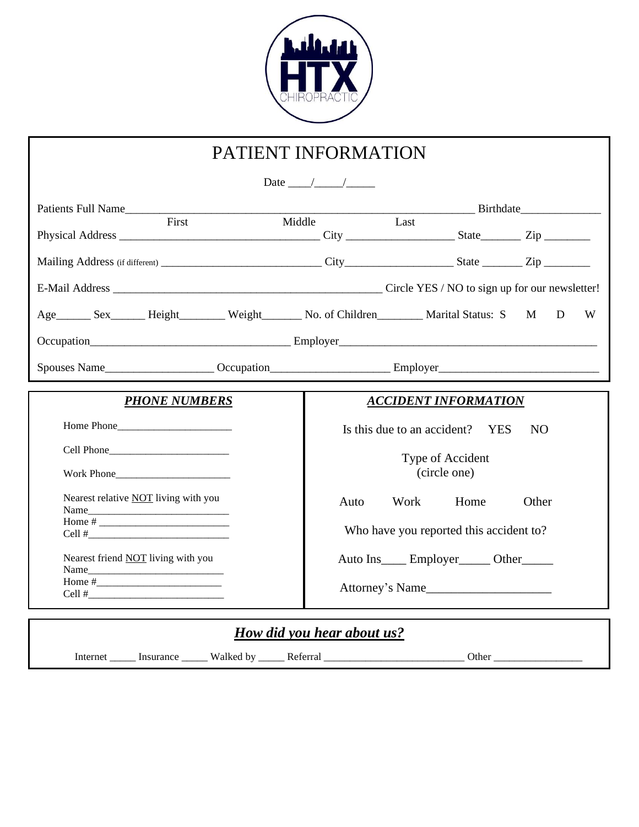

| PATIENT INFORMATION                         |                                                                        |  |  |  |  |
|---------------------------------------------|------------------------------------------------------------------------|--|--|--|--|
| Date $\frac{1}{\sqrt{1-\frac{1}{2}}}$       |                                                                        |  |  |  |  |
| First                                       | Last<br>Middle                                                         |  |  |  |  |
|                                             |                                                                        |  |  |  |  |
|                                             |                                                                        |  |  |  |  |
|                                             |                                                                        |  |  |  |  |
|                                             | Age Sex Height Weight No. of Children Marital Status: S<br>M<br>D<br>W |  |  |  |  |
|                                             |                                                                        |  |  |  |  |
|                                             |                                                                        |  |  |  |  |
| <b>PHONE NUMBERS</b>                        | <b>ACCIDENT INFORMATION</b>                                            |  |  |  |  |
| Home Phone                                  | Is this due to an accident? YES<br><b>NO</b>                           |  |  |  |  |
|                                             | Type of Accident                                                       |  |  |  |  |
| Work Phone                                  | (circle one)                                                           |  |  |  |  |
| Nearest relative <b>NOT</b> living with you | Auto<br>Work<br>Home<br>Other                                          |  |  |  |  |
|                                             | Who have you reported this accident to?                                |  |  |  |  |
| Nearest friend NOT living with you          | Auto Ins_____ Employer______ Other______                               |  |  |  |  |
|                                             | Attorney's Name                                                        |  |  |  |  |
|                                             | How did you hear about us?                                             |  |  |  |  |

Internet \_\_\_\_\_\_\_ Insurance \_\_\_\_\_\_\_ Walked by \_\_\_\_\_\_ Referral \_\_\_\_\_\_\_\_\_\_\_\_\_\_\_\_\_\_\_\_\_\_\_\_\_\_\_\_\_\_\_\_\_ Other \_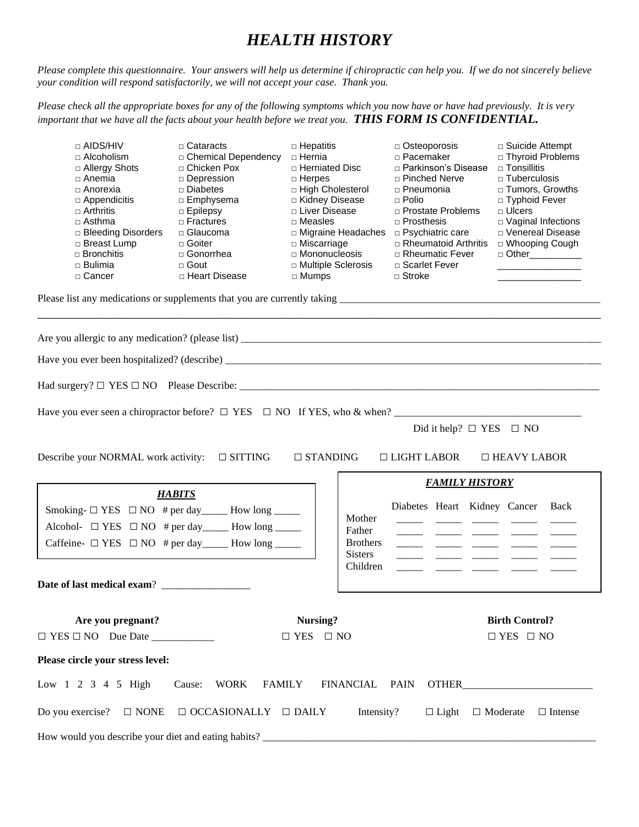### *HEALTH HISTORY*

*Please complete this questionnaire. Your answers will help us determine if chiropractic can help you. If we do not sincerely believe your condition will respond satisfactorily, we will not accept your case. Thank you.*

*Please check all the appropriate boxes for any of the following symptoms which you now have or have had previously. It is very important that we have all the facts about your health before we treat you. THIS FORM IS CONFIDENTIAL.*

| $\Box$ AIDS/HIV<br>□ Alcoholism<br>$\Box$ Allergy Shots<br>□ Anemia<br>□ Anorexia<br>$\Box$ Appendicitis<br>$\Box$ Arthritis<br>□ Asthma<br>□ Bleeding Disorders<br>□ Breast Lump<br>□ Bronchitis<br>$\square$ Bulimia<br>□ Cancer      | $\Box$ Cataracts<br>□ Chemical Dependency<br>□ Chicken Pox<br>□ Depression<br>□ Diabetes<br>□ Emphysema<br>$\Box$ Epilepsy<br>$\Box$ Fractures<br>□ Glaucoma<br>□ Goiter<br>□ Gonorrhea<br>□ Gout<br>□ Heart Disease | $\Box$ Hepatitis<br>□ Hernia<br>□ Herniated Disc<br>$\Box$ Herpes<br>□ High Cholesterol<br>□ Kidney Disease<br>□ Liver Disease<br>$\Box$ Measles<br>□ Miscarriage<br>□ Mononucleosis<br>$\Box$ Mumps | □ Multiple Sclerosis              | $\Box$ Osteoporosis<br>□ Pacemaker<br>□ Parkinson's Disease<br>$\Box$ Pinched Nerve<br>□ Pneumonia<br>$\Box$ Polio<br>□ Prostate Problems<br>$\Box$ Prosthesis<br>□ Migraine Headaches □ Psychiatric care<br>$\Box$ Rheumatoid Arthritis<br>□ Rheumatic Fever<br>□ Scarlet Fever<br>□ Stroke | $\Box$ Suicide Attempt<br>□ Thyroid Problems<br>□ Tonsillitis<br>$\Box$ Tuberculosis<br>□ Tumors, Growths<br>□ Typhoid Fever<br>$\Box$ Ulcers<br>□ Vaginal Infections<br>D Venereal Disease<br>□ Whooping Cough<br>□ Other___________ |  |
|-----------------------------------------------------------------------------------------------------------------------------------------------------------------------------------------------------------------------------------------|----------------------------------------------------------------------------------------------------------------------------------------------------------------------------------------------------------------------|------------------------------------------------------------------------------------------------------------------------------------------------------------------------------------------------------|-----------------------------------|----------------------------------------------------------------------------------------------------------------------------------------------------------------------------------------------------------------------------------------------------------------------------------------------|---------------------------------------------------------------------------------------------------------------------------------------------------------------------------------------------------------------------------------------|--|
|                                                                                                                                                                                                                                         |                                                                                                                                                                                                                      |                                                                                                                                                                                                      |                                   |                                                                                                                                                                                                                                                                                              |                                                                                                                                                                                                                                       |  |
|                                                                                                                                                                                                                                         |                                                                                                                                                                                                                      |                                                                                                                                                                                                      |                                   |                                                                                                                                                                                                                                                                                              |                                                                                                                                                                                                                                       |  |
|                                                                                                                                                                                                                                         |                                                                                                                                                                                                                      |                                                                                                                                                                                                      |                                   |                                                                                                                                                                                                                                                                                              |                                                                                                                                                                                                                                       |  |
|                                                                                                                                                                                                                                         |                                                                                                                                                                                                                      |                                                                                                                                                                                                      |                                   |                                                                                                                                                                                                                                                                                              |                                                                                                                                                                                                                                       |  |
|                                                                                                                                                                                                                                         |                                                                                                                                                                                                                      |                                                                                                                                                                                                      |                                   |                                                                                                                                                                                                                                                                                              |                                                                                                                                                                                                                                       |  |
| Have you ever seen a chiropractor before? $\Box$ YES $\Box$ NO If YES, who & when?<br>Did it help? $\Box$ YES $\Box$ NO<br>Describe your NORMAL work activity: □ SITTING<br>$\Box$ STANDING<br>$\Box$ LIGHT LABOR<br>$\Box$ HEAVY LABOR |                                                                                                                                                                                                                      |                                                                                                                                                                                                      |                                   |                                                                                                                                                                                                                                                                                              |                                                                                                                                                                                                                                       |  |
|                                                                                                                                                                                                                                         |                                                                                                                                                                                                                      |                                                                                                                                                                                                      |                                   | <b>FAMILY HISTORY</b>                                                                                                                                                                                                                                                                        |                                                                                                                                                                                                                                       |  |
|                                                                                                                                                                                                                                         | <b>HABITS</b>                                                                                                                                                                                                        |                                                                                                                                                                                                      |                                   |                                                                                                                                                                                                                                                                                              |                                                                                                                                                                                                                                       |  |
| Smoking- $\Box$ YES $\Box$ NO # per day ________ How long _______                                                                                                                                                                       |                                                                                                                                                                                                                      |                                                                                                                                                                                                      | Mother                            | Diabetes Heart Kidney Cancer Back                                                                                                                                                                                                                                                            |                                                                                                                                                                                                                                       |  |
| Alcohol- $\Box$ YES $\Box$ NO # per day _______ How long ______                                                                                                                                                                         |                                                                                                                                                                                                                      |                                                                                                                                                                                                      | Father                            |                                                                                                                                                                                                                                                                                              |                                                                                                                                                                                                                                       |  |
| Caffeine- $\Box$ YES $\Box$ NO # per day _______ How long ______                                                                                                                                                                        |                                                                                                                                                                                                                      |                                                                                                                                                                                                      | <b>Brothers</b><br><b>Sisters</b> |                                                                                                                                                                                                                                                                                              |                                                                                                                                                                                                                                       |  |
|                                                                                                                                                                                                                                         |                                                                                                                                                                                                                      |                                                                                                                                                                                                      | Children                          |                                                                                                                                                                                                                                                                                              |                                                                                                                                                                                                                                       |  |
| Date of last medical exam?                                                                                                                                                                                                              |                                                                                                                                                                                                                      |                                                                                                                                                                                                      |                                   |                                                                                                                                                                                                                                                                                              |                                                                                                                                                                                                                                       |  |
|                                                                                                                                                                                                                                         |                                                                                                                                                                                                                      |                                                                                                                                                                                                      |                                   |                                                                                                                                                                                                                                                                                              |                                                                                                                                                                                                                                       |  |
| Are you pregnant?                                                                                                                                                                                                                       |                                                                                                                                                                                                                      | Nursing?                                                                                                                                                                                             |                                   |                                                                                                                                                                                                                                                                                              | <b>Birth Control?</b>                                                                                                                                                                                                                 |  |
|                                                                                                                                                                                                                                         |                                                                                                                                                                                                                      | $\Box$ YES $\Box$ NO                                                                                                                                                                                 |                                   |                                                                                                                                                                                                                                                                                              | $\Box$ YES $\Box$ NO                                                                                                                                                                                                                  |  |
| Please circle your stress level:                                                                                                                                                                                                        |                                                                                                                                                                                                                      |                                                                                                                                                                                                      |                                   |                                                                                                                                                                                                                                                                                              |                                                                                                                                                                                                                                       |  |
| Low 1 2 3 4 5 High<br><b>WORK</b><br><b>FAMILY</b><br>FINANCIAL PAIN<br>Cause:                                                                                                                                                          |                                                                                                                                                                                                                      |                                                                                                                                                                                                      |                                   |                                                                                                                                                                                                                                                                                              |                                                                                                                                                                                                                                       |  |
| Intensity?<br>Do you exercise?<br>$\Box$ NONE<br>$\Box$ OCCASIONALLY $\quad \Box$ DAILY<br>$\Box$ Intense<br>$\Box$ Light<br>$\Box$ Moderate                                                                                            |                                                                                                                                                                                                                      |                                                                                                                                                                                                      |                                   |                                                                                                                                                                                                                                                                                              |                                                                                                                                                                                                                                       |  |
|                                                                                                                                                                                                                                         |                                                                                                                                                                                                                      |                                                                                                                                                                                                      |                                   |                                                                                                                                                                                                                                                                                              |                                                                                                                                                                                                                                       |  |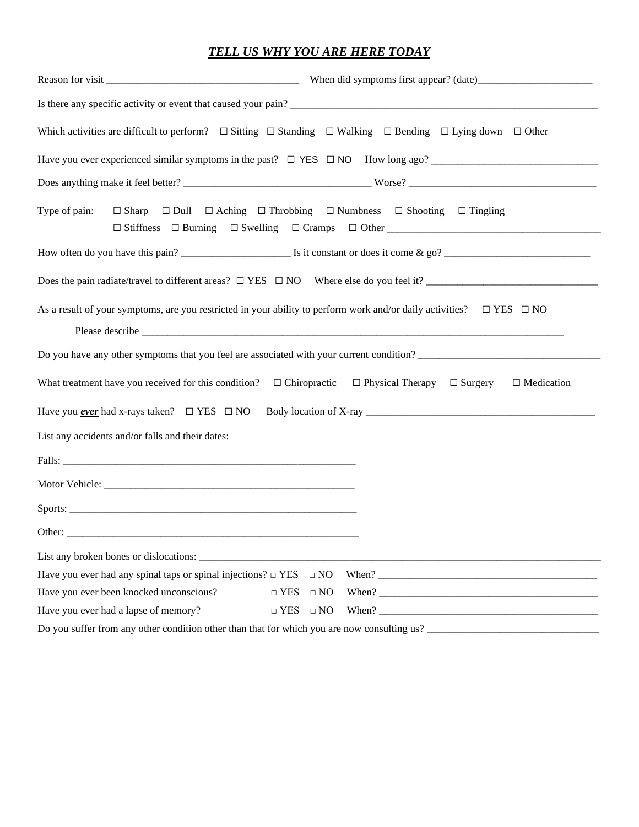#### *TELL US WHY YOU ARE HERE TODAY*

|                                                                                                                 | Which activities are difficult to perform? $\Box$ Sitting $\Box$ Standing $\Box$ Walking $\Box$ Bending $\Box$ Lying down $\Box$ Other |  |  |  |
|-----------------------------------------------------------------------------------------------------------------|----------------------------------------------------------------------------------------------------------------------------------------|--|--|--|
|                                                                                                                 | Have you ever experienced similar symptoms in the past? $\Box$ YES $\Box$ NO How long ago?                                             |  |  |  |
|                                                                                                                 |                                                                                                                                        |  |  |  |
| Type of pain:                                                                                                   | $\Box$ Sharp $\Box$ Dull $\Box$ Aching $\Box$ Throbbing $\Box$ Numbness $\Box$ Shooting $\Box$ Tingling                                |  |  |  |
|                                                                                                                 |                                                                                                                                        |  |  |  |
|                                                                                                                 |                                                                                                                                        |  |  |  |
|                                                                                                                 | As a result of your symptoms, are you restricted in your ability to perform work and/or daily activities? $\square$ YES $\square$ NO   |  |  |  |
|                                                                                                                 | Do you have any other symptoms that you feel are associated with your current condition?                                               |  |  |  |
| What treatment have you received for this condition? $\Box$ Chiropractic $\Box$ Physical Therapy $\Box$ Surgery | $\Box$ Medication                                                                                                                      |  |  |  |
|                                                                                                                 |                                                                                                                                        |  |  |  |
| List any accidents and/or falls and their dates:                                                                |                                                                                                                                        |  |  |  |
|                                                                                                                 |                                                                                                                                        |  |  |  |
|                                                                                                                 |                                                                                                                                        |  |  |  |
|                                                                                                                 |                                                                                                                                        |  |  |  |
|                                                                                                                 |                                                                                                                                        |  |  |  |
|                                                                                                                 |                                                                                                                                        |  |  |  |
| Have you ever had any spinal taps or spinal injections? $\Box$ YES                                              | $\Box$ NO                                                                                                                              |  |  |  |
| Have you ever been knocked unconscious?<br>$\Box$ YES                                                           | $\hfill\square$<br>NO                                                                                                                  |  |  |  |
| Have you ever had a lapse of memory?                                                                            | $\Box$ YES $\Box$ NO                                                                                                                   |  |  |  |
|                                                                                                                 | Do you suffer from any other condition other than that for which you are now consulting us?                                            |  |  |  |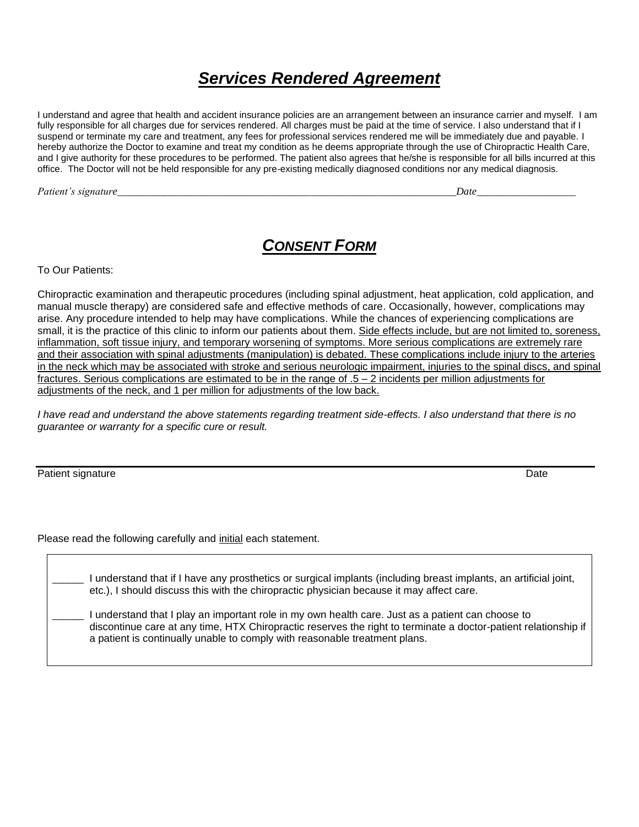# *Services Rendered Agreement*

I understand and agree that health and accident insurance policies are an arrangement between an insurance carrier and myself. I am fully responsible for all charges due for services rendered. All charges must be paid at the time of service. I also understand that if I suspend or terminate my care and treatment, any fees for professional services rendered me will be immediately due and payable. I hereby authorize the Doctor to examine and treat my condition as he deems appropriate through the use of Chiropractic Health Care, and I give authority for these procedures to be performed. The patient also agrees that he/she is responsible for all bills incurred at this office. The Doctor will not be held responsible for any pre-existing medically diagnosed conditions nor any medical diagnosis.

*Patient's signature\_\_\_\_\_\_\_\_\_\_\_\_\_\_\_\_\_\_\_\_\_\_\_\_\_\_\_\_\_\_\_\_\_\_\_\_\_\_\_\_\_\_\_\_\_\_\_\_\_\_\_\_\_\_\_\_\_\_\_\_\_\_\_\_\_Date\_\_\_\_\_\_\_\_\_\_\_\_\_\_\_\_\_\_\_* 

## *CONSENT FORM*

To Our Patients:

Chiropractic examination and therapeutic procedures (including spinal adjustment, heat application, cold application, and manual muscle therapy) are considered safe and effective methods of care. Occasionally, however, complications may arise. Any procedure intended to help may have complications. While the chances of experiencing complications are small, it is the practice of this clinic to inform our patients about them. Side effects include, but are not limited to, soreness, inflammation, soft tissue injury, and temporary worsening of symptoms. More serious complications are extremely rare and their association with spinal adjustments (manipulation) is debated. These complications include injury to the arteries in the neck which may be associated with stroke and serious neurologic impairment, injuries to the spinal discs, and spinal fractures. Serious complications are estimated to be in the range of .5 – 2 incidents per million adjustments for adjustments of the neck, and 1 per million for adjustments of the low back.

I have read and understand the above statements regarding treatment side-effects. I also understand that there is no *guarantee or warranty for a specific cure or result.*

Patient signature Date Date of the Date of the Date of the Date of the Date of the Date of the Date of the Date of the Date of the Date of the Date of the Date of the Date of the Date of the Date of the Date of the Date of

Please read the following carefully and initial each statement.

I understand that if I have any prosthetics or surgical implants (including breast implants, an artificial joint, etc.), I should discuss this with the chiropractic physician because it may affect care. I understand that I play an important role in my own health care. Just as a patient can choose to discontinue care at any time, HTX Chiropractic reserves the right to terminate a doctor-patient relationship if a patient is continually unable to comply with reasonable treatment plans.